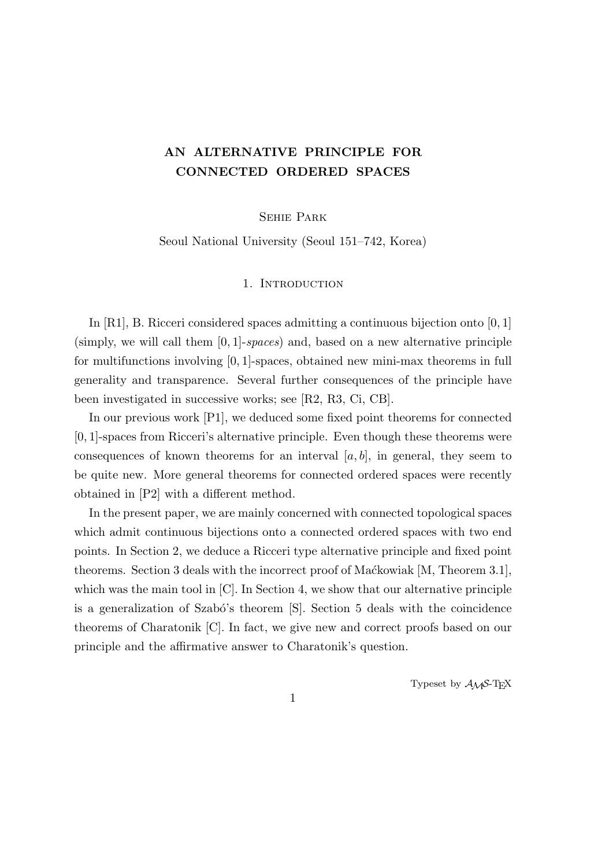# **AN ALTERNATIVE PRINCIPLE FOR CONNECTED ORDERED SPACES**

Sehie Park

Seoul National University (Seoul 151–742, Korea)

## 1. INTRODUCTION

In [R1], B. Ricceri considered spaces admitting a continuous bijection onto [0*,* 1] (simply, we will call them [0*,* 1]-*spaces*) and, based on a new alternative principle for multifunctions involving [0*,* 1]-spaces, obtained new mini-max theorems in full generality and transparence. Several further consequences of the principle have been investigated in successive works; see [R2, R3, Ci, CB].

In our previous work [P1], we deduced some fixed point theorems for connected [0*,* 1]-spaces from Ricceri's alternative principle. Even though these theorems were consequences of known theorems for an interval  $[a, b]$ , in general, they seem to be quite new. More general theorems for connected ordered spaces were recently obtained in [P2] with a different method.

In the present paper, we are mainly concerned with connected topological spaces which admit continuous bijections onto a connected ordered spaces with two end points. In Section 2, we deduce a Ricceri type alternative principle and fixed point theorems. Section 3 deals with the incorrect proof of Mackowiak [M, Theorem 3.1], which was the main tool in [C]. In Section 4, we show that our alternative principle is a generalization of Szabó's theorem [S]. Section 5 deals with the coincidence theorems of Charatonik [C]. In fact, we give new and correct proofs based on our principle and the affirmative answer to Charatonik's question.

Typeset by  $\mathcal{A}_{\mathcal{M}}\mathcal{S}\text{-}\mathrm{Tr}X$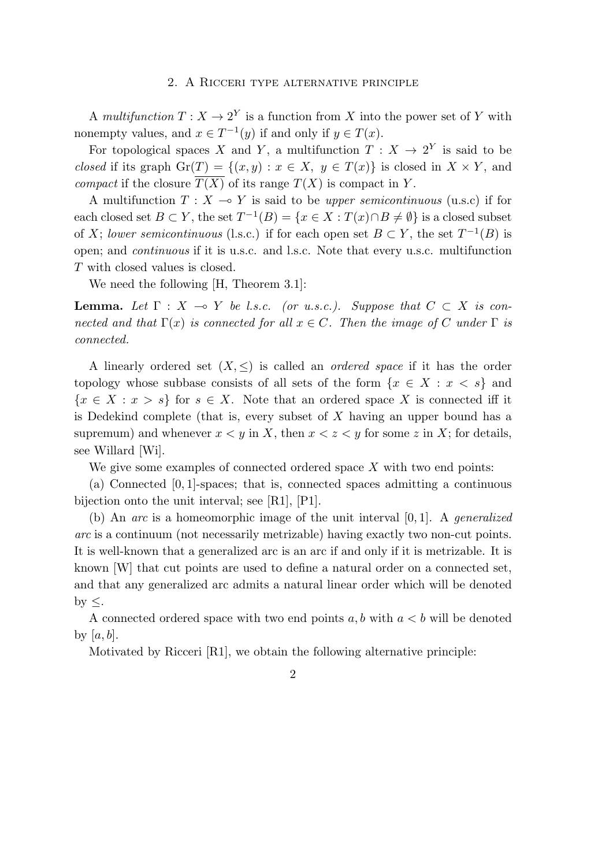#### 2. A Ricceri type alternative principle

A *multifunction*  $T: X \to 2^Y$  is a function from X into the power set of Y with nonempty values, and  $x \in T^{-1}(y)$  if and only if  $y \in T(x)$ .

For topological spaces *X* and *Y*, a multifunction  $T: X \to 2^Y$  is said to be *closed* if its graph  $\text{Gr}(T) = \{(x, y) : x \in X, y \in T(x)\}\$ is closed in  $X \times Y$ , and *compact* if the closure  $T(X)$  of its range  $T(X)$  is compact in *Y*.

A multifunction  $T : X \to Y$  is said to be *upper semicontinuous* (u.s.c) if for each closed set  $B \subset Y$ , the set  $T^{-1}(B) = \{x \in X : T(x) \cap B \neq \emptyset\}$  is a closed subset of *X*; *lower semicontinuous* (l.s.c.) if for each open set  $B \subset Y$ , the set  $T^{-1}(B)$  is open; and *continuous* if it is u.s.c. and l.s.c. Note that every u.s.c. multifunction *T* with closed values is closed.

We need the following  $|H,$  Theorem 3.1.

**Lemma.** Let  $\Gamma$  :  $X \to Y$  be l.s.c. (or u.s.c.). Suppose that  $C \subset X$  is con*nected and that*  $\Gamma(x)$  *is connected for all*  $x \in C$ *. Then the image of C under*  $\Gamma$  *is connected.*

A linearly ordered set  $(X, \leq)$  is called an *ordered space* if it has the order topology whose subbase consists of all sets of the form  $\{x \in X : x < s\}$  and  ${x \in X : x > s}$  for  $s \in X$ . Note that an ordered space *X* is connected iff it is Dedekind complete (that is, every subset of *X* having an upper bound has a supremum) and whenever  $x < y$  in X, then  $x < z < y$  for some z in X; for details, see Willard [Wi].

We give some examples of connected ordered space *X* with two end points:

(a) Connected [0*,* 1]-spaces; that is, connected spaces admitting a continuous bijection onto the unit interval; see [R1], [P1].

(b) An *arc* is a homeomorphic image of the unit interval [0*,* 1]. A *generalized arc* is a continuum (not necessarily metrizable) having exactly two non-cut points. It is well-known that a generalized arc is an arc if and only if it is metrizable. It is known [W] that cut points are used to define a natural order on a connected set, and that any generalized arc admits a natural linear order which will be denoted by *≤*.

A connected ordered space with two end points *a, b* with *a < b* will be denoted by [*a, b*].

Motivated by Ricceri [R1], we obtain the following alternative principle: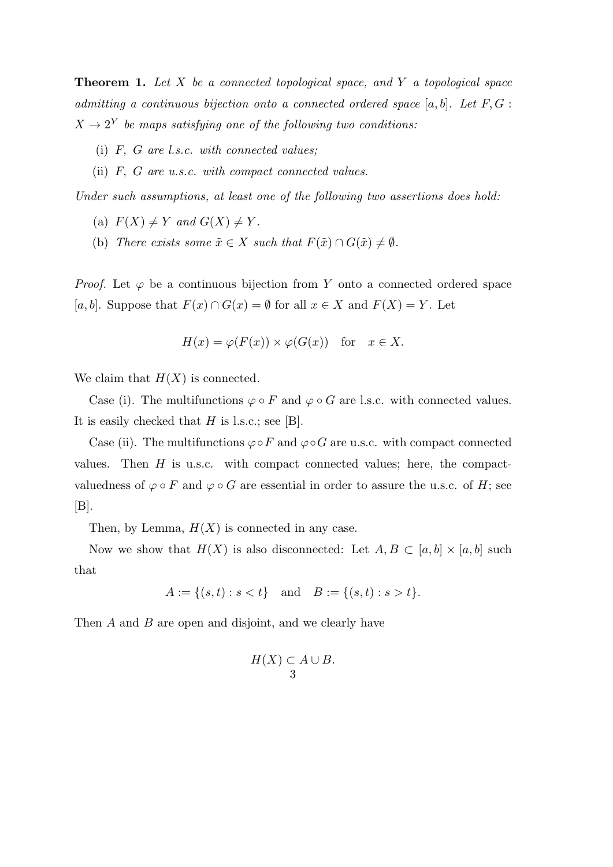**Theorem 1.** *Let X be a connected topological space, and Y a topological space admitting a continuous bijection onto a connected ordered space* [*a, b*]*. Let F, G* :  $X \rightarrow 2^Y$  be maps satisfying one of the following two conditions:

- (i) *F, G are l.s.c. with connected values;*
- (ii) *F, G are u.s.c. with compact connected values.*

*Under such assumptions, at least one of the following two assertions does hold:*

- (a)  $F(X) \neq Y$  and  $G(X) \neq Y$ .
- (b) *There exists some*  $\tilde{x} \in X$  *such that*  $F(\tilde{x}) \cap G(\tilde{x}) \neq \emptyset$ *.*

*Proof.* Let  $\varphi$  be a continuous bijection from *Y* onto a connected ordered space [*a, b*]. Suppose that  $F(x) ∩ G(x) = ∅$  for all  $x ∈ X$  and  $F(X) = Y$ . Let

$$
H(x) = \varphi(F(x)) \times \varphi(G(x)) \quad \text{for} \quad x \in X.
$$

We claim that  $H(X)$  is connected.

Case (i). The multifunctions  $\varphi \circ F$  and  $\varphi \circ G$  are l.s.c. with connected values. It is easily checked that *H* is l.s.c.; see [B].

Case (ii). The multifunctions  $\varphi \circ F$  and  $\varphi \circ G$  are u.s.c. with compact connected values. Then  $H$  is u.s.c. with compact connected values; here, the compactvaluedness of  $\varphi \circ F$  and  $\varphi \circ G$  are essential in order to assure the u.s.c. of *H*; see  $[B]$ .

Then, by Lemma,  $H(X)$  is connected in any case.

Now we show that  $H(X)$  is also disconnected: Let  $A, B \subset [a, b] \times [a, b]$  such that

$$
A := \{(s, t) : s < t\} \quad \text{and} \quad B := \{(s, t) : s > t\}.
$$

Then *A* and *B* are open and disjoint, and we clearly have

$$
H(X) \subset A \cup B.
$$
3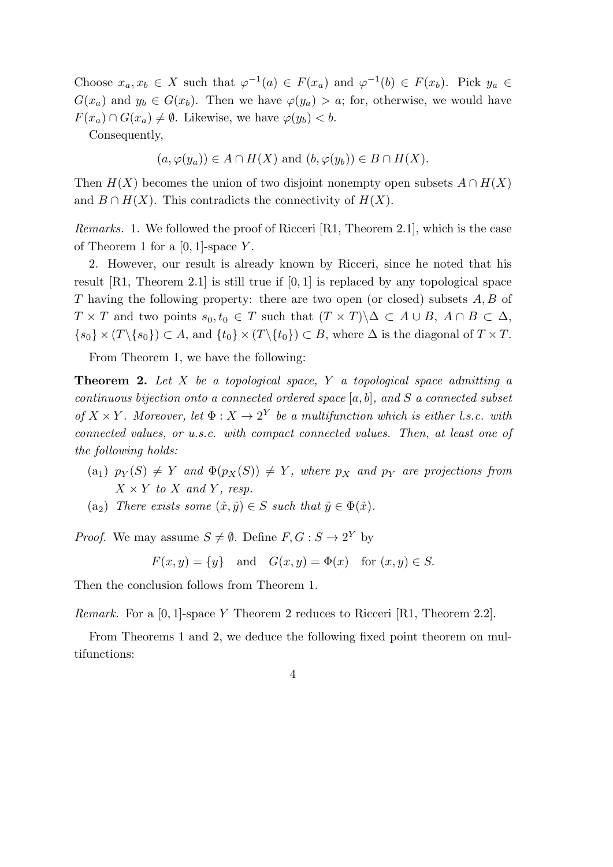Choose  $x_a, x_b \in X$  such that  $\varphi^{-1}(a) \in F(x_a)$  and  $\varphi^{-1}(b) \in F(x_b)$ . Pick  $y_a \in$  $G(x_a)$  and  $y_b \in G(x_b)$ . Then we have  $\varphi(y_a) > a$ ; for, otherwise, we would have  $F(x_a) \cap G(x_a) \neq \emptyset$ . Likewise, we have  $\varphi(y_b) < b$ .

Consequently,

$$
(a, \varphi(y_a)) \in A \cap H(X)
$$
 and  $(b, \varphi(y_b)) \in B \cap H(X)$ .

Then  $H(X)$  becomes the union of two disjoint nonempty open subsets  $A \cap H(X)$ and  $B \cap H(X)$ . This contradicts the connectivity of  $H(X)$ .

*Remarks.* 1. We followed the proof of Ricceri [R1, Theorem 2.1], which is the case of Theorem 1 for a [0*,* 1]-space *Y* .

2. However, our result is already known by Ricceri, since he noted that his result [R1, Theorem 2.1] is still true if [0*,* 1] is replaced by any topological space *T* having the following property: there are two open (or closed) subsets *A, B* of  $T \times T$  and two points  $s_0, t_0 \in T$  such that  $(T \times T) \setminus \Delta \subset A \cup B$ ,  $A \cap B \subset \Delta$ ,  $\{s_0\} \times (T \setminus \{s_0\}) \subset A$ , and  $\{t_0\} \times (T \setminus \{t_0\}) \subset B$ , where  $\Delta$  is the diagonal of  $T \times T$ .

From Theorem 1, we have the following:

**Theorem 2.** *Let X be a topological space, Y a topological space admitting a continuous bijection onto a connected ordered space* [*a, b*]*, and S a connected subset of*  $X \times Y$ *. Moreover, let*  $\Phi : X \to 2^Y$  *be a multifunction which is either l.s.c. with connected values, or u.s.c. with compact connected values. Then, at least one of the following holds:*

- $p_Y(S) \neq Y$  *and*  $\Phi(p_X(S)) \neq Y$ *, where*  $p_X$  *and*  $p_Y$  *are projections from*  $X \times Y$  *to*  $X$  *and*  $Y$ *, resp.*
- $(a_2)$  *There exists some*  $(\tilde{x}, \tilde{y}) \in S$  *such that*  $\tilde{y} \in \Phi(\tilde{x})$ *.*

*Proof.* We may assume  $S \neq \emptyset$ . Define  $F, G : S \rightarrow 2^Y$  by

$$
F(x, y) = \{y\} \quad \text{and} \quad G(x, y) = \Phi(x) \quad \text{for } (x, y) \in S.
$$

Then the conclusion follows from Theorem 1.

*Remark.* For a [0*,* 1]-space *Y* Theorem 2 reduces to Ricceri [R1, Theorem 2.2].

From Theorems 1 and 2, we deduce the following fixed point theorem on multifunctions: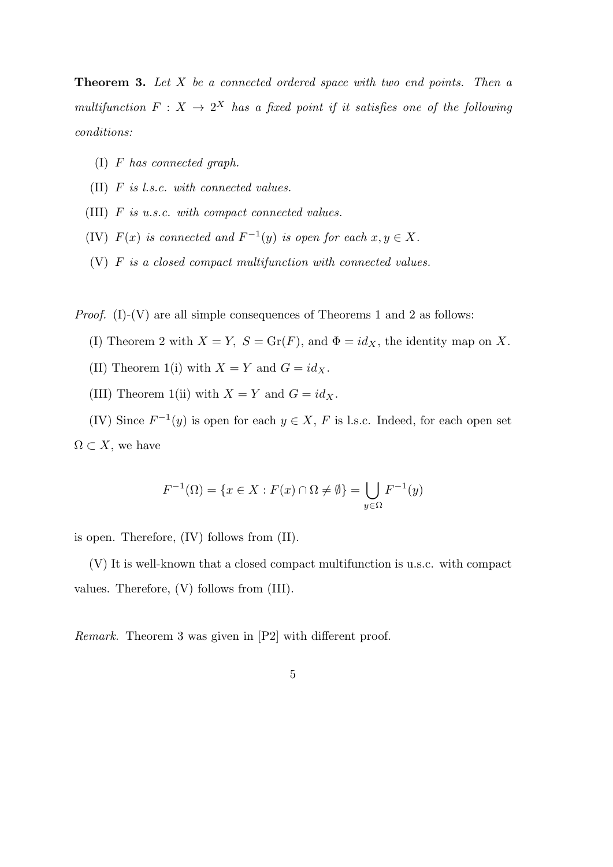**Theorem 3.** *Let X be a connected ordered space with two end points. Then a multifunction*  $F: X \to 2^X$  *has a fixed point if it satisfies one of the following conditions:*

- (I) *F has connected graph.*
- (II) *F is l.s.c. with connected values.*
- (III) *F is u.s.c. with compact connected values.*
- (IV)  $F(x)$  *is connected and*  $F^{-1}(y)$  *is open for each*  $x, y \in X$ *.*
- (V) *F is a closed compact multifunction with connected values.*

*Proof.* (I)-(V) are all simple consequences of Theorems 1 and 2 as follows:

- (I) Theorem 2 with  $X = Y$ ,  $S = \text{Gr}(F)$ , and  $\Phi = id_X$ , the identity map on X.
- (II) Theorem 1(i) with  $X = Y$  and  $G = id_X$ .
- (III) Theorem 1(ii) with  $X = Y$  and  $G = id_X$ .

(IV) Since  $F^{-1}(y)$  is open for each  $y \in X$ , F is l.s.c. Indeed, for each open set  $\Omega \subset X$ , we have

$$
F^{-1}(\Omega) = \{ x \in X : F(x) \cap \Omega \neq \emptyset \} = \bigcup_{y \in \Omega} F^{-1}(y)
$$

is open. Therefore, (IV) follows from (II).

(V) It is well-known that a closed compact multifunction is u.s.c. with compact values. Therefore, (V) follows from (III).

*Remark.* Theorem 3 was given in [P2] with different proof.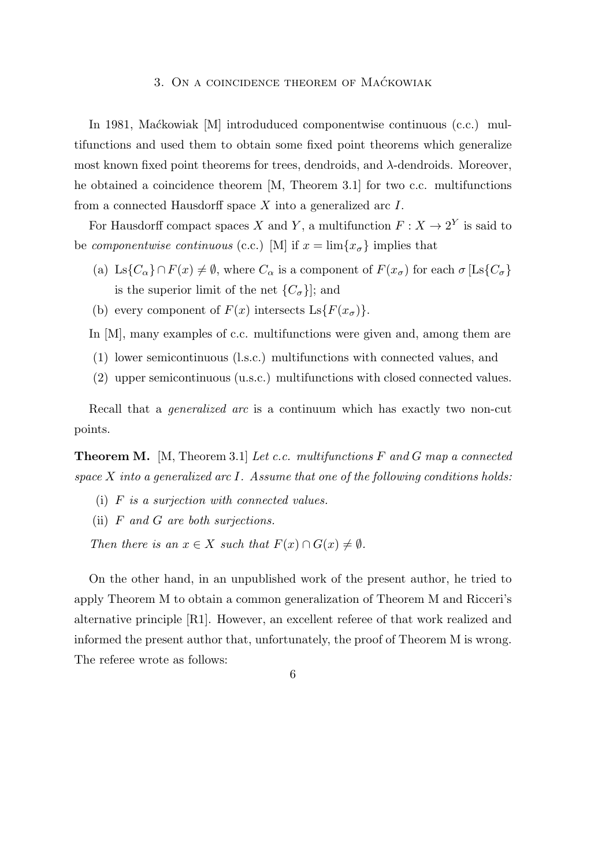# 3. ON A COINCIDENCE THEOREM OF MACKOWIAK

In 1981, Mackowiak [M] introduduced componentwise continuous (c.c.) multifunctions and used them to obtain some fixed point theorems which generalize most known fixed point theorems for trees, dendroids, and *λ*-dendroids. Moreover, he obtained a coincidence theorem [M, Theorem 3.1] for two c.c. multifunctions from a connected Hausdorff space *X* into a generalized arc *I*.

For Hausdorff compact spaces *X* and *Y*, a multifunction  $F: X \to 2^Y$  is said to be *componentwise continuous* (c.c.) [M] if  $x = \lim\{x_{\sigma}\}\$ implies that

- (a) Ls $\{C_{\alpha}\}\cap F(x) \neq \emptyset$ , where  $C_{\alpha}$  is a component of  $F(x_{\sigma})$  for each  $\sigma$  [Ls $\{C_{\sigma}\}$ ] is the superior limit of the net  $\{C_{\sigma}\}\$ ; and
- (b) every component of  $F(x)$  intersects  $\text{Ls}\lbrace F(x_{\sigma})\rbrace$ .

In [M], many examples of c.c. multifunctions were given and, among them are

- (1) lower semicontinuous (l.s.c.) multifunctions with connected values, and
- (2) upper semicontinuous (u.s.c.) multifunctions with closed connected values.

Recall that a *generalized arc* is a continuum which has exactly two non-cut points.

**Theorem M.** [M, Theorem 3.1] *Let c.c. multifunctions F and G map a connected space X into a generalized arc I. Assume that one of the following conditions holds:*

- (i) *F is a surjection with connected values.*
- (ii) *F and G are both surjections.*

*Then there is an*  $x \in X$  *such that*  $F(x) \cap G(x) \neq \emptyset$ *.* 

On the other hand, in an unpublished work of the present author, he tried to apply Theorem M to obtain a common generalization of Theorem M and Ricceri's alternative principle [R1]. However, an excellent referee of that work realized and informed the present author that, unfortunately, the proof of Theorem M is wrong. The referee wrote as follows: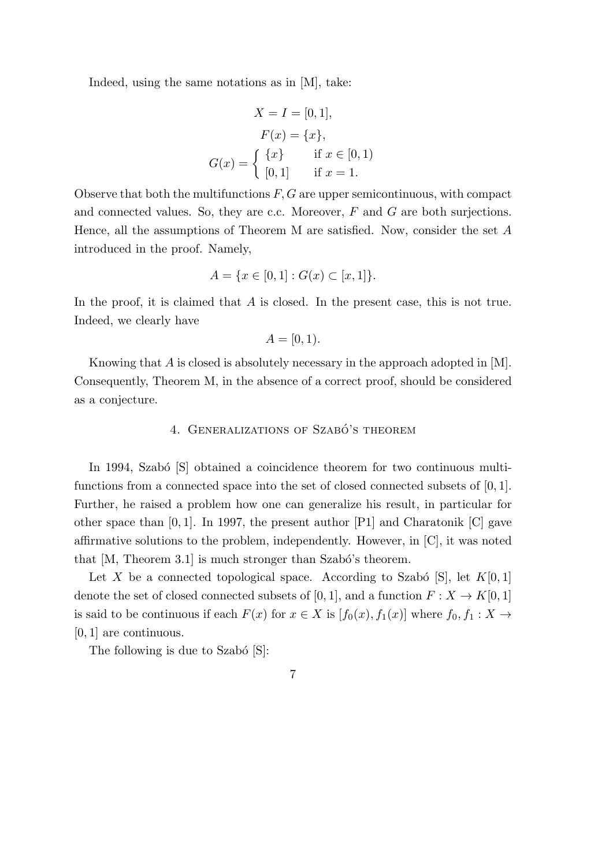Indeed, using the same notations as in [M], take:

$$
X = I = [0, 1],
$$
  
\n
$$
F(x) = \{x\},
$$
  
\n
$$
G(x) = \begin{cases} \{x\} & \text{if } x \in [0, 1) \\ [0, 1] & \text{if } x = 1. \end{cases}
$$

Observe that both the multifunctions *F, G* are upper semicontinuous, with compact and connected values. So, they are c.c. Moreover, *F* and *G* are both surjections. Hence, all the assumptions of Theorem M are satisfied. Now, consider the set *A* introduced in the proof. Namely,

$$
A = \{ x \in [0,1] : G(x) \subset [x,1] \}.
$$

In the proof, it is claimed that *A* is closed. In the present case, this is not true. Indeed, we clearly have

$$
A=[0,1).
$$

Knowing that *A* is closed is absolutely necessary in the approach adopted in [M]. Consequently, Theorem M, in the absence of a correct proof, should be considered as a conjecture.

#### 4. GENERALIZATIONS OF SZABÓ'S THEOREM

In 1994, Szabó [S] obtained a coincidence theorem for two continuous multifunctions from a connected space into the set of closed connected subsets of [0*,* 1]. Further, he raised a problem how one can generalize his result, in particular for other space than [0*,* 1]. In 1997, the present author [P1] and Charatonik [C] gave affirmative solutions to the problem, independently. However, in [C], it was noted that  $[M, Theorem 3.1]$  is much stronger than Szabó's theorem.

Let *X* be a connected topological space. According to Szabó [S], let  $K[0,1]$ denote the set of closed connected subsets of [0, 1], and a function  $F: X \to K[0, 1]$ is said to be continuous if each  $F(x)$  for  $x \in X$  is  $[f_0(x), f_1(x)]$  where  $f_0, f_1 : X \to Y$ [0*,* 1] are continuous.

The following is due to Szabó  $[S]$ :

$$
\mathbf{7}
$$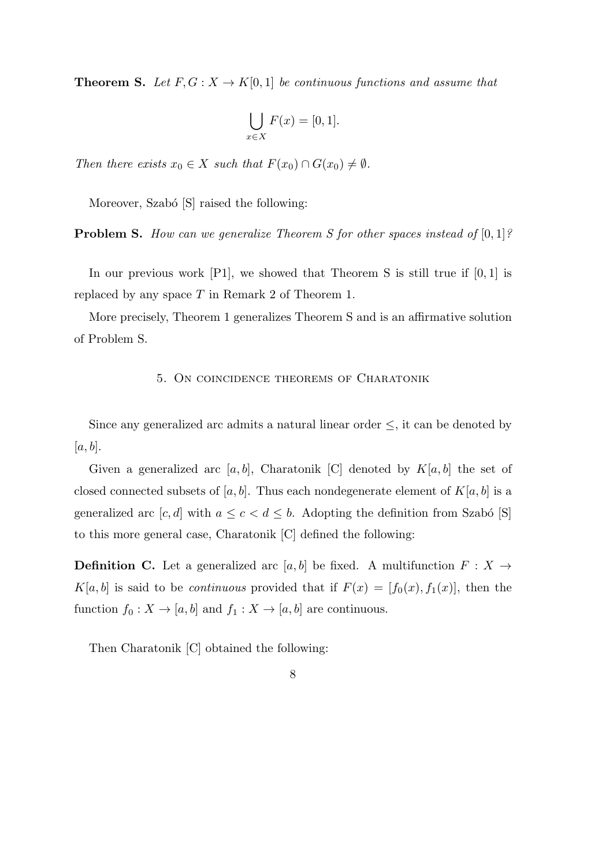**Theorem S.** Let  $F, G: X \to K[0,1]$  be continuous functions and assume that

$$
\bigcup_{x \in X} F(x) = [0, 1].
$$

*Then there exists*  $x_0 \in X$  *such that*  $F(x_0) \cap G(x_0) \neq \emptyset$ *.* 

Moreover, Szabó [S] raised the following:

**Problem S.** *How can we generalize Theorem S for other spaces instead of* [0*,* 1]*?*

In our previous work [P1], we showed that Theorem S is still true if [0*,* 1] is replaced by any space *T* in Remark 2 of Theorem 1.

More precisely, Theorem 1 generalizes Theorem S and is an affirmative solution of Problem S.

### 5. On coincidence theorems of Charatonik

Since any generalized arc admits a natural linear order *≤*, it can be denoted by [*a, b*].

Given a generalized arc  $[a, b]$ , Charatonik [C] denoted by  $K[a, b]$  the set of closed connected subsets of  $[a, b]$ . Thus each nondegenerate element of  $K[a, b]$  is a generalized arc  $[c, d]$  with  $a \leq c < d \leq b$ . Adopting the definition from Szabó [S] to this more general case, Charatonik [C] defined the following:

**Definition C.** Let a generalized arc  $[a, b]$  be fixed. A multifunction  $F : X \rightarrow$  $K[a, b]$  is said to be *continuous* provided that if  $F(x) = [f_0(x), f_1(x)]$ , then the function  $f_0: X \to [a, b]$  and  $f_1: X \to [a, b]$  are continuous.

Then Charatonik [C] obtained the following: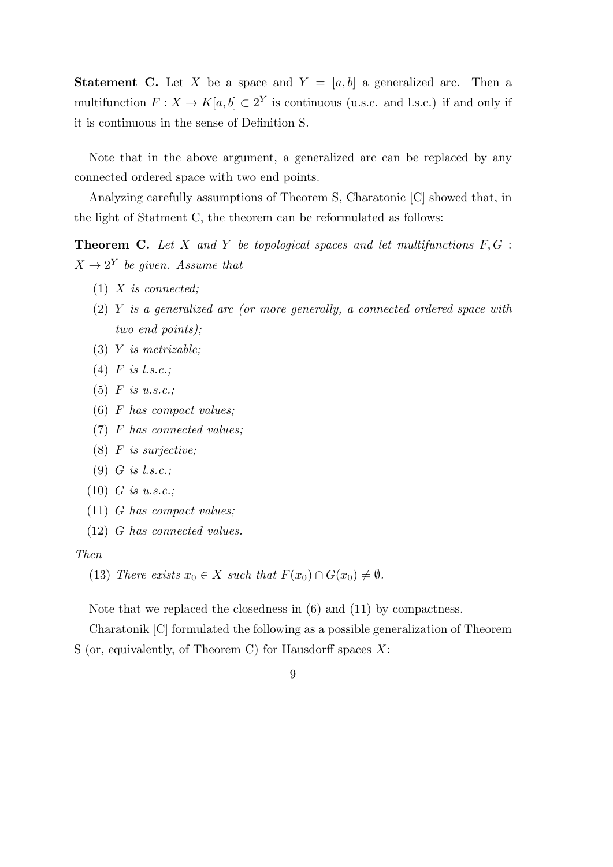**Statement C.** Let *X* be a space and  $Y = [a, b]$  a generalized arc. Then a multifunction  $F: X \to K[a, b] \subset 2^Y$  is continuous (u.s.c. and l.s.c.) if and only if it is continuous in the sense of Definition S.

Note that in the above argument, a generalized arc can be replaced by any connected ordered space with two end points.

Analyzing carefully assumptions of Theorem S, Charatonic [C] showed that, in the light of Statment C, the theorem can be reformulated as follows:

**Theorem C.** *Let X and Y be topological spaces and let multifunctions F, G* :  $X \rightarrow 2^Y$  *be given. Assume that* 

- (1) *X is connected;*
- (2) *Y is a generalized arc (or more generally, a connected ordered space with two end points);*
- (3) *Y is metrizable;*
- (4) *F is l.s.c.;*
- (5) *F is u.s.c.;*
- (6) *F has compact values;*
- (7) *F has connected values;*
- (8) *F is surjective;*
- (9) *G is l.s.c.;*
- (10) *G is u.s.c.;*
- (11) *G has compact values;*
- (12) *G has connected values.*

#### *Then*

(13) *There exists*  $x_0 \in X$  *such that*  $F(x_0) \cap G(x_0) \neq \emptyset$ *.* 

Note that we replaced the closedness in (6) and (11) by compactness.

Charatonik [C] formulated the following as a possible generalization of Theorem

- S (or, equivalently, of Theorem C) for Hausdorff spaces *X*:
	- 9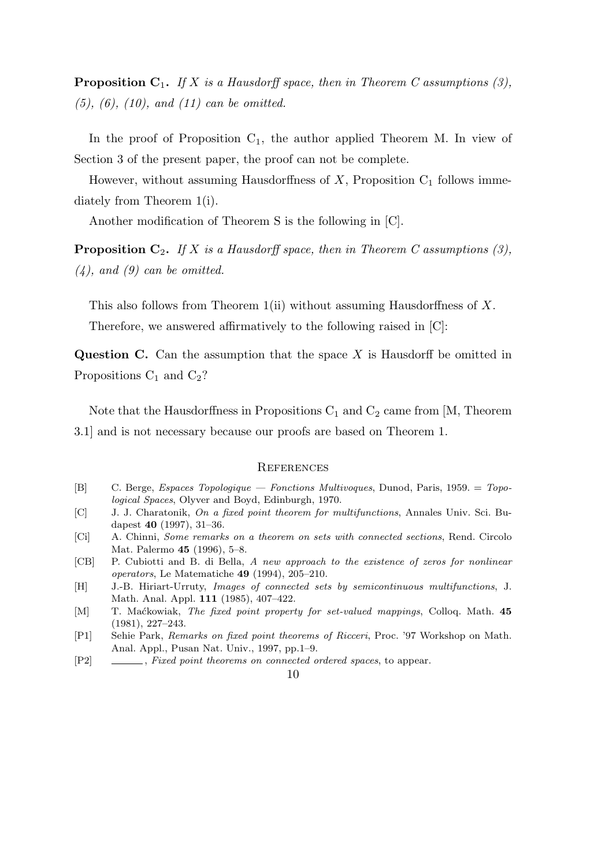**Proposition C**1**.** *If X is a Hausdorff space, then in Theorem C assumptions (3), (5), (6), (10), and (11) can be omitted.*

In the proof of Proposition  $C_1$ , the author applied Theorem M. In view of Section 3 of the present paper, the proof can not be complete.

However, without assuming Hausdorffness of  $X$ , Proposition  $C_1$  follows immediately from Theorem 1(i).

Another modification of Theorem S is the following in [C].

**Proposition C**2**.** *If X is a Hausdorff space, then in Theorem C assumptions (3), (4), and (9) can be omitted.*

This also follows from Theorem 1(ii) without assuming Hausdorffness of *X*. Therefore, we answered affirmatively to the following raised in [C]:

**Question C.** Can the assumption that the space *X* is Hausdorff be omitted in Propositions  $C_1$  and  $C_2$ ?

Note that the Hausdorffness in Propositions  $C_1$  and  $C_2$  came from [M, Theorem 3.1] and is not necessary because our proofs are based on Theorem 1.

#### **REFERENCES**

- [B] C. Berge, *Espaces Topologique Fonctions Multivoques*, Dunod, Paris, 1959. = *Topological Spaces*, Olyver and Boyd, Edinburgh, 1970.
- [C] J. J. Charatonik, *On a fixed point theorem for multifunctions*, Annales Univ. Sci. Budapest **40** (1997), 31–36.
- [Ci] A. Chinni, *Some remarks on a theorem on sets with connected sections*, Rend. Circolo Mat. Palermo **45** (1996), 5–8.
- [CB] P. Cubiotti and B. di Bella, *A new approach to the existence of zeros for nonlinear operators*, Le Matematiche **49** (1994), 205–210.
- [H] J.-B. Hiriart-Urruty, *Images of connected sets by semicontinuous multifunctions*, J. Math. Anal. Appl. **111** (1985), 407–422.
- [M] T. Ma´ckowiak, *The fixed point property for set-valued mappings*, Colloq. Math. **45** (1981), 227–243.
- [P1] Sehie Park, *Remarks on fixed point theorems of Ricceri*, Proc. '97 Workshop on Math. Anal. Appl., Pusan Nat. Univ., 1997, pp.1–9.
- [P2] , *Fixed point theorems on connected ordered spaces*, to appear.